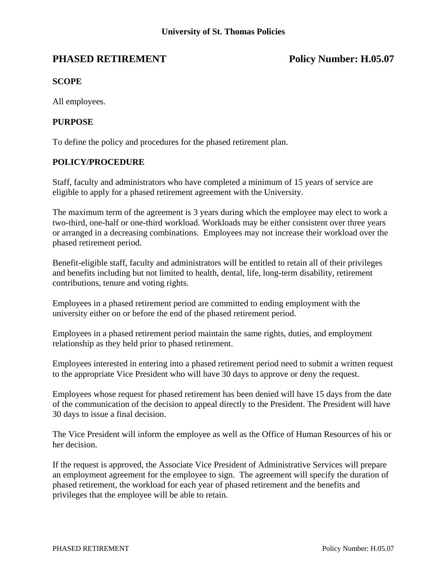# **PHASED RETIREMENT** Policy Number: H.05.07

## **SCOPE**

All employees.

### **PURPOSE**

To define the policy and procedures for the phased retirement plan.

### **POLICY/PROCEDURE**

Staff, faculty and administrators who have completed a minimum of 15 years of service are eligible to apply for a phased retirement agreement with the University.

The maximum term of the agreement is 3 years during which the employee may elect to work a two-third, one-half or one-third workload. Workloads may be either consistent over three years or arranged in a decreasing combinations. Employees may not increase their workload over the phased retirement period.

Benefit-eligible staff, faculty and administrators will be entitled to retain all of their privileges and benefits including but not limited to health, dental, life, long-term disability, retirement contributions, tenure and voting rights.

Employees in a phased retirement period are committed to ending employment with the university either on or before the end of the phased retirement period.

Employees in a phased retirement period maintain the same rights, duties, and employment relationship as they held prior to phased retirement.

Employees interested in entering into a phased retirement period need to submit a written request to the appropriate Vice President who will have 30 days to approve or deny the request.

Employees whose request for phased retirement has been denied will have 15 days from the date of the communication of the decision to appeal directly to the President. The President will have 30 days to issue a final decision.

The Vice President will inform the employee as well as the Office of Human Resources of his or her decision.

If the request is approved, the Associate Vice President of Administrative Services will prepare an employment agreement for the employee to sign. The agreement will specify the duration of phased retirement, the workload for each year of phased retirement and the benefits and privileges that the employee will be able to retain.